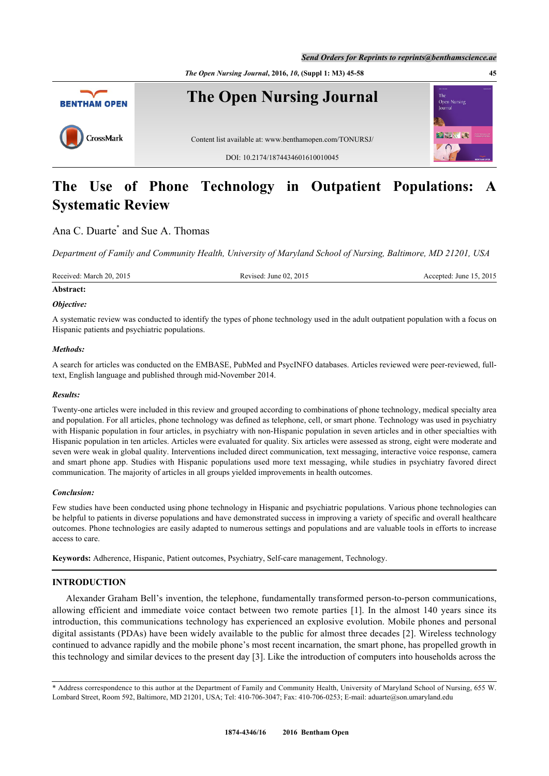*The Open Nursing Journal***, 2016,** *10***, (Suppl 1: M3) 45-58 45**



# **The Use of Phone Technology in Outpatient Populations: A Systematic Review**

## Ana C. Duarte<sup>[\\*](#page-0-0)</sup> and Sue A. Thomas

*Department of Family and Community Health, University of Maryland School of Nursing, Baltimore, MD 21201, USA*

Received: March 20, 2015 Revised: June 02, 2015 Revised: June 02, 2015 Accepted: June 15, 2015

## **Abstract:** *Objective:*

A systematic review was conducted to identify the types of phone technology used in the adult outpatient population with a focus on Hispanic patients and psychiatric populations.

#### *Methods:*

A search for articles was conducted on the EMBASE, PubMed and PsycINFO databases. Articles reviewed were peer-reviewed, fulltext, English language and published through mid-November 2014.

#### *Results:*

Twenty-one articles were included in this review and grouped according to combinations of phone technology, medical specialty area and population. For all articles, phone technology was defined as telephone, cell, or smart phone. Technology was used in psychiatry with Hispanic population in four articles, in psychiatry with non-Hispanic population in seven articles and in other specialties with Hispanic population in ten articles. Articles were evaluated for quality. Six articles were assessed as strong, eight were moderate and seven were weak in global quality. Interventions included direct communication, text messaging, interactive voice response, camera and smart phone app. Studies with Hispanic populations used more text messaging, while studies in psychiatry favored direct communication. The majority of articles in all groups yielded improvements in health outcomes.

#### *Conclusion:*

Few studies have been conducted using phone technology in Hispanic and psychiatric populations. Various phone technologies can be helpful to patients in diverse populations and have demonstrated success in improving a variety of specific and overall healthcare outcomes. Phone technologies are easily adapted to numerous settings and populations and are valuable tools in efforts to increase access to care.

**Keywords:** Adherence, Hispanic, Patient outcomes, Psychiatry, Self-care management, Technology.

## **INTRODUCTION**

Alexander Graham Bell's invention, the telephone, fundamentally transformed person-to-person communications, allowing efficient and immediate voice contact between two remote parties[[1](#page-10-0)]. In the almost 140 years since its introduction, this communications technology has experienced an explosive evolution. Mobile phones and personal digital assistants (PDAs) have been widely available to the public for almost three decades [\[2](#page-10-1)]. Wireless technology continued to advance rapidly and the mobile phone's most recent incarnation, the smart phone, has propelled growth in this technology and similar devices to the present day [[3\]](#page-10-2). Like the introduction of computers into households across the

<span id="page-0-0"></span><sup>\*</sup> Address correspondence to this author at the Department of Family and Community Health, University of Maryland School of Nursing, 655 W. Lombard Street, Room 592, Baltimore, MD 21201, USA; Tel: 410-706-3047; Fax: 410-706-0253; E-mail: [aduarte@son.umaryland.edu](mailto:aduarte@son.umaryland.edu)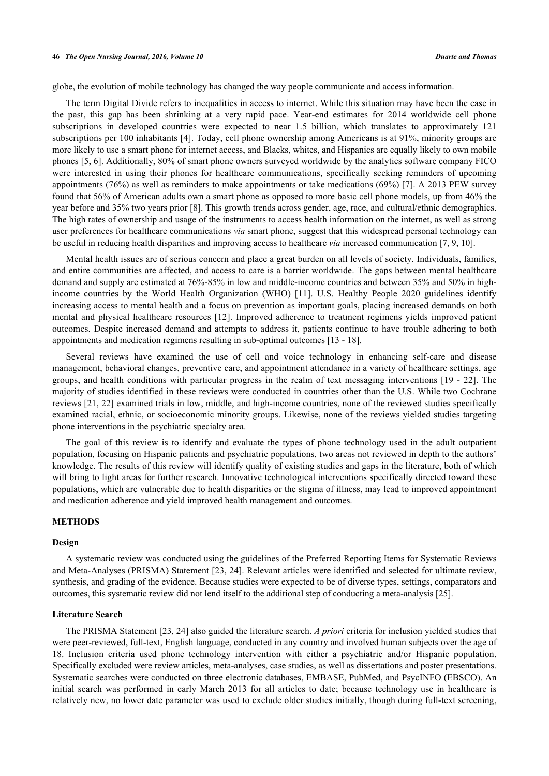globe, the evolution of mobile technology has changed the way people communicate and access information.

The term Digital Divide refers to inequalities in access to internet. While this situation may have been the case in the past, this gap has been shrinking at a very rapid pace. Year-end estimates for 2014 worldwide cell phone subscriptions in developed countries were expected to near 1.5 billion, which translates to approximately 121 subscriptions per 100 inhabitants [[4](#page-10-3)]. Today, cell phone ownership among Americans is at 91%, minority groups are more likely to use a smart phone for internet access, and Blacks, whites, and Hispanics are equally likely to own mobile phones [\[5](#page-10-4), [6\]](#page-10-5). Additionally, 80% of smart phone owners surveyed worldwide by the analytics software company FICO were interested in using their phones for healthcare communications, specifically seeking reminders of upcoming appointments (76%) as well as reminders to make appointments or take medications (69%) [[7\]](#page-11-0). A 2013 PEW survey found that 56% of American adults own a smart phone as opposed to more basic cell phone models, up from 46% the year before and 35% two years prior [\[8](#page-11-1)]. This growth trends across gender, age, race, and cultural/ethnic demographics. The high rates of ownership and usage of the instruments to access health information on the internet, as well as strong user preferences for healthcare communications *via* smart phone, suggest that this widespread personal technology can be useful in reducing health disparities and improving access to healthcare *via* increased communication [[7](#page-11-0)[, 9](#page-11-2)[, 10\]](#page-11-3).

Mental health issues are of serious concern and place a great burden on all levels of society. Individuals, families, and entire communities are affected, and access to care is a barrier worldwide. The gaps between mental healthcare demand and supply are estimated at 76%-85% in low and middle-income countries and between 35% and 50% in highincome countries by the World Health Organization (WHO) [\[11\]](#page-11-4). U.S. Healthy People 2020 guidelines identify increasing access to mental health and a focus on prevention as important goals, placing increased demands on both mental and physical healthcare resources [[12](#page-11-5)]. Improved adherence to treatment regimens yields improved patient outcomes. Despite increased demand and attempts to address it, patients continue to have trouble adhering to both appointments and medication regimens resulting in sub-optimal outcomes [\[13](#page-11-6) - [18\]](#page-11-7).

Several reviews have examined the use of cell and voice technology in enhancing self-care and disease management, behavioral changes, preventive care, and appointment attendance in a variety of healthcare settings, age groups, and health conditions with particular progress in the realm of text messaging interventions [[19](#page-11-8) - [22](#page-11-9)]. The majority of studies identified in these reviews were conducted in countries other than the U.S. While two Cochrane reviews [[21,](#page-11-10) [22](#page-11-9)] examined trials in low, middle, and high-income countries, none of the reviewed studies specifically examined racial, ethnic, or socioeconomic minority groups. Likewise, none of the reviews yielded studies targeting phone interventions in the psychiatric specialty area.

The goal of this review is to identify and evaluate the types of phone technology used in the adult outpatient population, focusing on Hispanic patients and psychiatric populations, two areas not reviewed in depth to the authors' knowledge. The results of this review will identify quality of existing studies and gaps in the literature, both of which will bring to light areas for further research. Innovative technological interventions specifically directed toward these populations, which are vulnerable due to health disparities or the stigma of illness, may lead to improved appointment and medication adherence and yield improved health management and outcomes.

## **METHODS**

#### **Design**

A systematic review was conducted using the guidelines of the Preferred Reporting Items for Systematic Reviews and Meta-Analyses (PRISMA) Statement [\[23](#page-11-11), [24\]](#page-11-12). Relevant articles were identified and selected for ultimate review, synthesis, and grading of the evidence. Because studies were expected to be of diverse types, settings, comparators and outcomes, this systematic review did not lend itself to the additional step of conducting a meta-analysis [[25\]](#page-11-13).

#### **Literature Search**

The PRISMA Statement [\[23](#page-11-11), [24](#page-11-12)] also guided the literature search. *A priori* criteria for inclusion yielded studies that were peer-reviewed, full-text, English language, conducted in any country and involved human subjects over the age of 18. Inclusion criteria used phone technology intervention with either a psychiatric and/or Hispanic population. Specifically excluded were review articles, meta-analyses, case studies, as well as dissertations and poster presentations. Systematic searches were conducted on three electronic databases, EMBASE, PubMed, and PsycINFO (EBSCO). An initial search was performed in early March 2013 for all articles to date; because technology use in healthcare is relatively new, no lower date parameter was used to exclude older studies initially, though during full-text screening,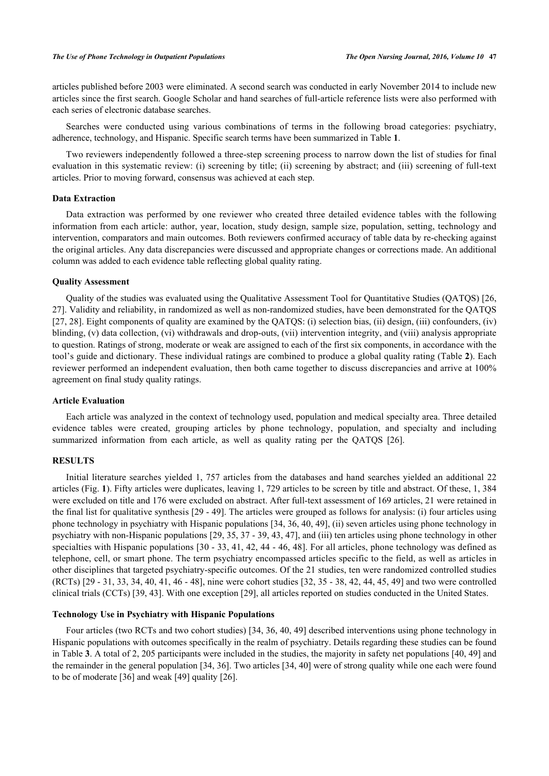articles published before 2003 were eliminated. A second search was conducted in early November 2014 to include new articles since the first search. Google Scholar and hand searches of full-article reference lists were also performed with each series of electronic database searches.

Searches were conducted using various combinations of terms in the following broad categories: psychiatry, adherence, technology, and Hispanic. Specific search terms have been summarized in Table **[1](#page-3-0)**.

Two reviewers independently followed a three-step screening process to narrow down the list of studies for final evaluation in this systematic review: (i) screening by title; (ii) screening by abstract; and (iii) screening of full-text articles. Prior to moving forward, consensus was achieved at each step.

#### **Data Extraction**

Data extraction was performed by one reviewer who created three detailed evidence tables with the following information from each article: author, year, location, study design, sample size, population, setting, technology and intervention, comparators and main outcomes. Both reviewers confirmed accuracy of table data by re-checking against the original articles. Any data discrepancies were discussed and appropriate changes or corrections made. An additional column was added to each evidence table reflecting global quality rating.

#### **Quality Assessment**

Quality of the studies was evaluated using the Qualitative Assessment Tool for Quantitative Studies (QATQS) [[26](#page-11-14), [27\]](#page-11-15). Validity and reliability, in randomized as well as non-randomized studies, have been demonstrated for the QATQS [\[27](#page-11-15), [28](#page-11-16)]. Eight components of quality are examined by the QATQS: (i) selection bias, (ii) design, (iii) confounders, (iv) blinding, (v) data collection, (vi) withdrawals and drop-outs, (vii) intervention integrity, and (viii) analysis appropriate to question. Ratings of strong, moderate or weak are assigned to each of the first six components, in accordance with the tool's guide and dictionary. These individual ratings are combined to produce a global quality rating (Table **2**). Each reviewer performed an independent evaluation, then both came together to discuss discrepancies and arrive at 100% agreement on final study quality ratings.

#### **Article Evaluation**

Each article was analyzed in the context of technology used, population and medical specialty area. Three detailed evidence tables were created, grouping articles by phone technology, population, and specialty and including summarized information from each article, as well as quality rating per the QATQS [\[26](#page-11-14)].

## **RESULTS**

Initial literature searches yielded 1, 757 articles from the databases and hand searches yielded an additional 22 articles (Fig. **[1](#page-3-1)**). Fifty articles were duplicates, leaving 1, 729 articles to be screen by title and abstract. Of these, 1, 384 were excluded on title and 176 were excluded on abstract. After full-text assessment of 169 articles, 21 were retained in the final list for qualitative synthesis [[29](#page-12-0) - [49\]](#page-13-0). The articles were grouped as follows for analysis: (i) four articles using phone technology in psychiatry with Hispanic populations [[34](#page-12-1)[, 36,](#page-12-2) [40](#page-12-3), [49](#page-13-0)], (ii) seven articles using phone technology in psychiatry with non-Hispanic populations [[29](#page-12-0)[, 35](#page-12-4)[, 37](#page-12-5) - [39](#page-12-6), [43,](#page-12-7) [47\]](#page-12-8), and (iii) ten articles using phone technology in other specialties with Hispanic populations [[30](#page-12-9) - [33,](#page-12-10) [41,](#page-12-11) [42](#page-12-12), [44](#page-12-13) - [46](#page-12-14), [48\]](#page-12-15). For all articles, phone technology was defined as telephone, cell, or smart phone. The term psychiatry encompassed articles specific to the field, as well as articles in other disciplines that targeted psychiatry-specific outcomes. Of the 21 studies, ten were randomized controlled studies (RCTs) [[29](#page-12-0) - [31,](#page-12-16) [33](#page-12-10)[, 34](#page-12-1), [40](#page-12-3), [41,](#page-12-11) [46](#page-12-14) - [48](#page-12-15)], nine were cohort studies [[32](#page-12-17)[, 35](#page-12-4) - [38,](#page-12-18) [42](#page-12-12)[, 44](#page-12-13), [45](#page-12-19), [49\]](#page-13-0) and two were controlled clinical trials (CCTs) [[39](#page-12-6)[, 43\]](#page-12-7). With one exception [\[29](#page-12-0)], all articles reported on studies conducted in the United States.

#### **Technology Use in Psychiatry with Hispanic Populations**

Four articles (two RCTs and two cohort studies) [\[34](#page-12-1), [36](#page-12-2), [40,](#page-12-3) [49\]](#page-13-0) described interventions using phone technology in Hispanic populations with outcomes specifically in the realm of psychiatry. Details regarding these studies can be found in Table **[3](#page-5-0)**. A total of 2, 205 participants were included in the studies, the majority in safety net populations [\[40](#page-12-3), [49](#page-13-0)] and the remainder in the general population [\[34](#page-12-1), [36](#page-12-2)]. Two articles [\[34](#page-12-1), [40](#page-12-3)] were of strong quality while one each were found to be of moderate [[36\]](#page-12-2) and weak [\[49](#page-13-0)] quality [[26\]](#page-11-14).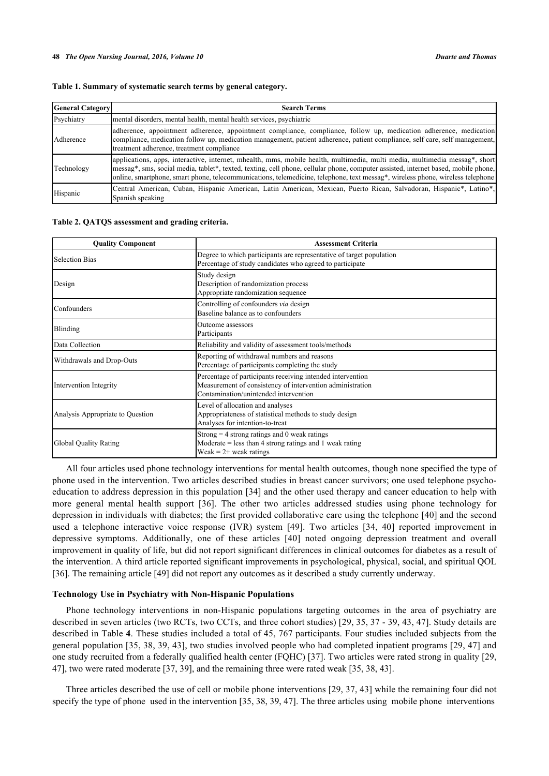#### <span id="page-3-0"></span>**Table 1. Summary of systematic search terms by general category.**

| <b>General Category</b> | <b>Search Terms</b>                                                                                                                                                                                                                                                                                                                                                                               |
|-------------------------|---------------------------------------------------------------------------------------------------------------------------------------------------------------------------------------------------------------------------------------------------------------------------------------------------------------------------------------------------------------------------------------------------|
| Psychiatry              | mental disorders, mental health, mental health services, psychiatric                                                                                                                                                                                                                                                                                                                              |
| Adherence               | adherence, appointment adherence, appointment compliance, compliance, follow up, medication adherence, medication<br>compliance, medication follow up, medication management, patient adherence, patient compliance, self care, self management,<br>treatment adherence, treatment compliance                                                                                                     |
| Technology              | applications, apps, interactive, internet, mhealth, mms, mobile health, multimedia, multimedia, multimedia messag*, short<br>messag*, sms, social media, tablet*, texted, texting, cell phone, cellular phone, computer assisted, internet based, mobile phone,<br>online, smartphone, smart phone, telecommunications, telemedicine, telephone, text messag*, wireless phone, wireless telephone |
| Hispanic                | Central American, Cuban, Hispanic American, Latin American, Mexican, Puerto Rican, Salvadoran, Hispanic*, Latino*,<br>Spanish speaking                                                                                                                                                                                                                                                            |

**Table 2. QATQS assessment and grading criteria.**

| <b>Quality Component</b>         | <b>Assessment Criteria</b>                                                                                                                                       |
|----------------------------------|------------------------------------------------------------------------------------------------------------------------------------------------------------------|
| Selection Bias                   | Degree to which participants are representative of target population<br>Percentage of study candidates who agreed to participate                                 |
| Design                           | Study design<br>Description of randomization process<br>Appropriate randomization sequence                                                                       |
| Confounders                      | Controlling of confounders via design<br>Baseline balance as to confounders                                                                                      |
| Blinding                         | Outcome assessors<br>Participants                                                                                                                                |
| Data Collection                  | Reliability and validity of assessment tools/methods                                                                                                             |
| Withdrawals and Drop-Outs        | Reporting of withdrawal numbers and reasons<br>Percentage of participants completing the study                                                                   |
| Intervention Integrity           | Percentage of participants receiving intended intervention<br>Measurement of consistency of intervention administration<br>Contamination/unintended intervention |
| Analysis Appropriate to Question | Level of allocation and analyses<br>Appropriateness of statistical methods to study design<br>Analyses for intention-to-treat                                    |
| Global Quality Rating            | Strong $=$ 4 strong ratings and 0 weak ratings<br>Moderate $=$ less than 4 strong ratings and 1 weak rating<br>Weak = $2+$ weak ratings                          |

All four articles used phone technology interventions for mental health outcomes, though none specified the type of phone used in the intervention. Two articles described studies in breast cancer survivors; one used telephone psychoeducation to address depression in this population [[34\]](#page-12-1) and the other used therapy and cancer education to help with more general mental health support[[36](#page-12-2)]. The other two articles addressed studies using phone technology for depression in individuals with diabetes; the first provided collaborative care using the telephone [[40\]](#page-12-3) and the second used a telephone interactive voice response (IVR) system[[49](#page-13-0)]. Two articles[[34](#page-12-1), [40\]](#page-12-3) reported improvement in depressive symptoms. Additionally, one of these articles [\[40](#page-12-3)] noted ongoing depression treatment and overall improvement in quality of life, but did not report significant differences in clinical outcomes for diabetes as a result of the intervention. A third article reported significant improvements in psychological, physical, social, and spiritual QOL [\[36](#page-12-2)]. The remaining article [\[49](#page-13-0)] did not report any outcomes as it described a study currently underway.

#### **Technology Use in Psychiatry with Non-Hispanic Populations**

Phone technology interventions in non-Hispanic populations targeting outcomes in the area of psychiatry are described in seven articles (two RCTs, two CCTs, and three cohort studies) [[29](#page-12-0), [35,](#page-12-4) [37](#page-12-5) - [39,](#page-12-6) [43](#page-12-7), [47\]](#page-12-8). Study details are described in Table **[4](#page-6-0)**. These studies included a total of 45, 767 participants. Four studies included subjects from the general population [[35](#page-12-4), [38,](#page-12-18) [39](#page-12-6), [43](#page-12-7)], two studies involved people who had completed inpatient programs [[29,](#page-12-0) [47\]](#page-12-8) and one study recruited from a federally qualified health center (FQHC) [\[37](#page-12-5)]. Two articles were rated strong in quality [[29](#page-12-0), [47\]](#page-12-8), two were rated moderate [[37](#page-12-5)[, 39\]](#page-12-6), and the remaining three were rated weak [[35,](#page-12-4) [38,](#page-12-18) [43\]](#page-12-7).

<span id="page-3-1"></span>Three articles described the use of cell or mobile phone interventions [[29,](#page-12-0) [37](#page-12-5), [43](#page-12-7)] while the remaining four did not specify the type of phone used in the intervention [[35](#page-12-4)[, 38](#page-12-18)[, 39](#page-12-6)[, 47\]](#page-12-8). The three articles using mobile phone interventions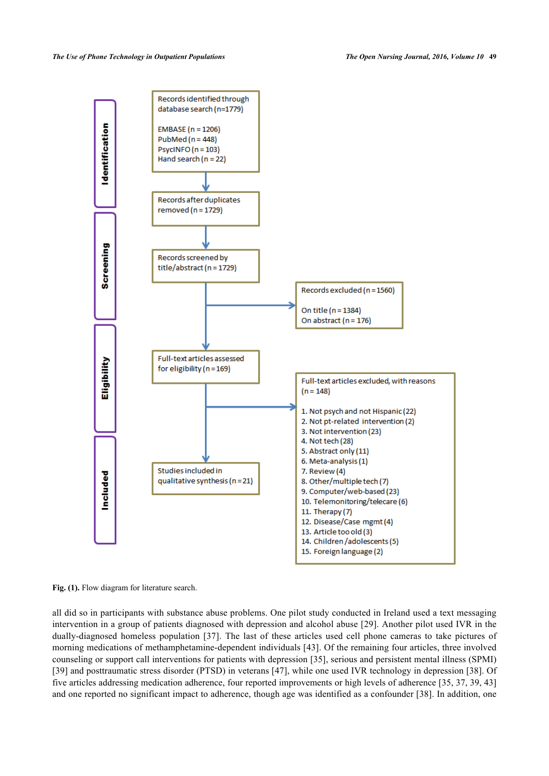

Fig. (1). Flow diagram for literature search.

all did so in participants with substance abuse problems. One pilot study conducted in Ireland used a text messaging intervention in a group of patients diagnosed with depression and alcohol abuse [[29](#page-12-0)]. Another pilot used IVR in the dually-diagnosed homeless population [\[37](#page-12-5)]. The last of these articles used cell phone cameras to take pictures of morning medications of methamphetamine-dependent individuals [\[43\]](#page-12-7). Of the remaining four articles, three involved counseling or support call interventions for patients with depression [[35](#page-12-4)], serious and persistent mental illness (SPMI) [\[39](#page-12-6)] and posttraumatic stress disorder (PTSD) in veterans [[47](#page-12-8)], while one used IVR technology in depression [\[38](#page-12-18)]. Of five articles addressing medication adherence, four reported improvements or high levels of adherence [\[35](#page-12-4), [37,](#page-12-5) [39,](#page-12-6) [43](#page-12-7)] and one reported no significant impact to adherence, though age was identified as a confounder [[38](#page-12-18)]. In addition, one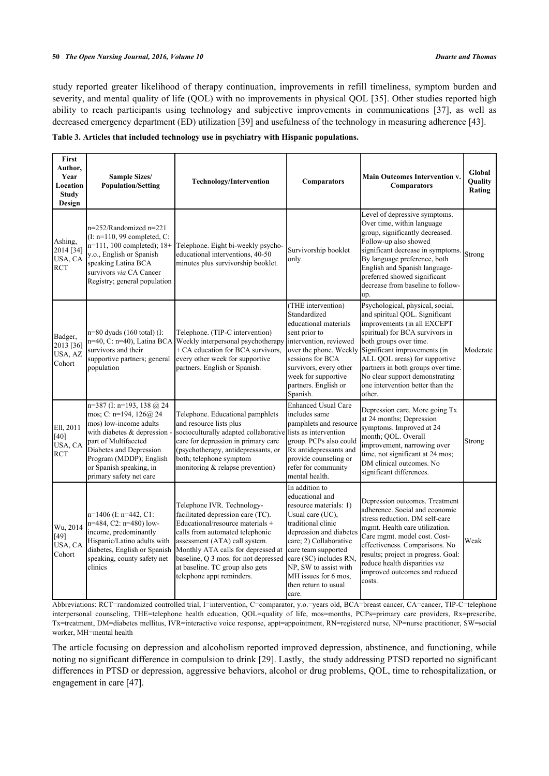#### **50** *The Open Nursing Journal, 2016, Volume 10 Duarte and Thomas*

study reported greater likelihood of therapy continuation, improvements in refill timeliness, symptom burden and severity, and mental quality of life (QOL) with no improvements in physical QOL [[35](#page-12-4)]. Other studies reported high ability to reach participants using technology and subjective improvements in communications[[37\]](#page-12-5), as well as decreased emergency department (ED) utilization [\[39](#page-12-6)] and usefulness of the technology in measuring adherence [[43\]](#page-12-7).

## <span id="page-5-0"></span>**Table 3. Articles that included technology use in psychiatry with Hispanic populations.**

| <b>First</b><br>Author,<br>Year<br>Location<br><b>Study</b><br>Design | <b>Sample Sizes/</b><br><b>Population/Setting</b>                                                                                                                                                                                                       | <b>Technology/Intervention</b>                                                                                                                                                                                                                                                                                        | <b>Comparators</b>                                                                                                                                                                                                                                                                            | <b>Main Outcomes Intervention v.</b><br><b>Comparators</b>                                                                                                                                                                                                                                                                                                                   | Global<br>Quality<br>Rating |
|-----------------------------------------------------------------------|---------------------------------------------------------------------------------------------------------------------------------------------------------------------------------------------------------------------------------------------------------|-----------------------------------------------------------------------------------------------------------------------------------------------------------------------------------------------------------------------------------------------------------------------------------------------------------------------|-----------------------------------------------------------------------------------------------------------------------------------------------------------------------------------------------------------------------------------------------------------------------------------------------|------------------------------------------------------------------------------------------------------------------------------------------------------------------------------------------------------------------------------------------------------------------------------------------------------------------------------------------------------------------------------|-----------------------------|
| Ashing,<br>2014 [34]<br>USA, CA<br><b>RCT</b>                         | $n=252/R$ andomized $n=221$<br>$(I: n=110, 99$ completed, C:<br>n=111, 100 completed); 18+<br>y.o., English or Spanish<br>speaking Latina BCA<br>survivors via CA Cancer<br>Registry; general population                                                | Telephone. Eight bi-weekly psycho-<br>educational interventions, 40-50<br>minutes plus survivorship booklet.                                                                                                                                                                                                          | Survivorship booklet<br>only.                                                                                                                                                                                                                                                                 | Level of depressive symptoms.<br>Over time, within language<br>group, significantly decreased.<br>Follow-up also showed<br>significant decrease in symptoms.<br>By language preference, both<br>English and Spanish language-<br>preferred showed significant<br>decrease from baseline to follow-<br>up.                                                                    | Strong                      |
| Badger,<br>2013 [36]<br>USA, AZ<br>Cohort                             | $n=80$ dyads $(160$ total) $(I:$<br>n=40, C: n=40), Latina BCA<br>survivors and their<br>supportive partners; general<br>population                                                                                                                     | Telephone. (TIP-C intervention)<br>Weekly interpersonal psychotherapy<br>+ CA education for BCA survivors,<br>every other week for supportive<br>partners. English or Spanish.                                                                                                                                        | (THE intervention)<br>Standardized<br>educational materials<br>sent prior to<br>intervention, reviewed<br>sessions for BCA<br>survivors, every other<br>week for supportive<br>partners. English or<br>Spanish.                                                                               | Psychological, physical, social,<br>and spiritual QOL. Significant<br>improvements (in all EXCEPT<br>spiritual) for BCA survivors in<br>both groups over time.<br>over the phone. Weekly Significant improvements (in<br>ALL QOL areas) for supportive<br>partners in both groups over time.<br>No clear support demonstrating<br>one intervention better than the<br>other. | Moderate                    |
| Ell, 2011<br>[40]<br>USA, CA<br><b>RCT</b>                            | $n=387$ (I: $n=193$ , 138 @ 24<br>mos; C: n=194, $126@24$<br>mos) low-income adults<br>with diabetes & depression -<br>part of Multifaceted<br>Diabetes and Depression<br>Program (MDDP); English<br>or Spanish speaking, in<br>primary safety net care | Telephone. Educational pamphlets<br>and resource lists plus<br>socioculturally adapted collaborative<br>care for depression in primary care<br>(psychotherapy, antidepressants, or<br>both; telephone symptom<br>monitoring & relapse prevention)                                                                     | <b>Enhanced Usual Care</b><br>includes same<br>pamphlets and resource<br>lists as intervention<br>group. PCPs also could<br>Rx antidepressants and<br>provide counseling or<br>refer for community<br>mental health.                                                                          | Depression care. More going Tx<br>at 24 months; Depression<br>symptoms. Improved at 24<br>month; OOL. Overall<br>improvement, narrowing over<br>time, not significant at 24 mos;<br>DM clinical outcomes. No<br>significant differences.                                                                                                                                     | Strong                      |
| Wu, 2014<br>$[49]$<br>USA, CA<br>Cohort                               | $n=1406$ (I: $n=442$ , C1:<br>n=484, C2: n=480) low-<br>income, predominantly<br>Hispanic/Latino adults with<br>diabetes, English or Spanish<br>speaking, county safety net<br>clinics                                                                  | Telephone IVR. Technology-<br>facilitated depression care (TC).<br>Educational/resource materials +<br>calls from automated telephonic<br>assessment (ATA) call system.<br>Monthly ATA calls for depressed at<br>baseline, Q 3 mos. for not depressed<br>at baseline. TC group also gets<br>telephone appt reminders. | In addition to<br>educational and<br>resource materials: 1)<br>Usual care (UC).<br>traditional clinic<br>depression and diabetes<br>care; 2) Collaborative<br>care team supported<br>care (SC) includes RN.<br>NP, SW to assist with<br>MH issues for 6 mos.<br>then return to usual<br>care. | Depression outcomes. Treatment<br>adherence. Social and economic<br>stress reduction. DM self-care<br>mgmt. Health care utilization.<br>Care mgmt. model cost. Cost-<br>effectiveness. Comparisons. No<br>results; project in progress. Goal:<br>reduce health disparities via<br>improved outcomes and reduced<br>costs.                                                    | Weak                        |

Abbreviations: RCT=randomized controlled trial, I=intervention, C=comparator, y.o.=years old, BCA=breast cancer, CA=cancer, TIP-C=telephone interpersonal counseling, THE=telephone health education, QOL=quality of life, mos=months, PCPs=primary care providers, Rx=prescribe, Tx=treatment, DM=diabetes mellitus, IVR=interactive voice response, appt=appointment, RN=registered nurse, NP=nurse practitioner, SW=social worker, MH=mental health

The article focusing on depression and alcoholism reported improved depression, abstinence, and functioning, while noting no significant difference in compulsion to drink [[29\]](#page-12-0). Lastly, the study addressing PTSD reported no significant differences in PTSD or depression, aggressive behaviors, alcohol or drug problems, QOL, time to rehospitalization, or engagement in care [\[47](#page-12-8)].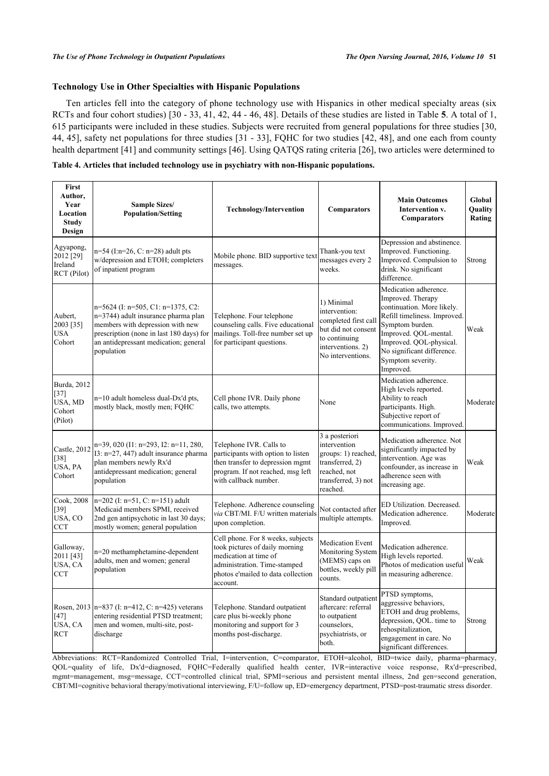## **Technology Use in Other Specialties with Hispanic Populations**

Ten articles fell into the category of phone technology use with Hispanics in other medical specialty areas (six RCTs and four cohort studies) [[30](#page-12-9) - [33,](#page-12-10) [41](#page-12-11), [42](#page-12-12), [44](#page-12-13) - [46](#page-12-14)[, 48](#page-12-15)]. Details of these studies are listed in Table **[5](#page-7-0)**. A total of 1, 615 participants were included in these studies. Subjects were recruited from general populations for three studies [[30](#page-12-9), [44](#page-12-13)[, 45\]](#page-12-19), safety net populations for three studies [[31](#page-12-16) - [33\]](#page-12-10), FQHC for two studies [[42](#page-12-12), [48\]](#page-12-15), and one each from county health department [\[41](#page-12-11)] and community settings [[46\]](#page-12-14). Using QATQS rating criteria [\[26](#page-11-14)], two articles were determined to

<span id="page-6-0"></span>

| Table 4. Articles that included technology use in psychiatry with non-Hispanic populations. |  |  |  |
|---------------------------------------------------------------------------------------------|--|--|--|
|                                                                                             |  |  |  |

| First<br>Author,<br>Year<br>Location<br><b>Study</b><br>Design | <b>Sample Sizes/</b><br><b>Population/Setting</b>                                                                                                                                                                       | <b>Technology/Intervention</b>                                                                                                                                                 | <b>Comparators</b>                                                                                                                    | <b>Main Outcomes</b><br>Intervention v.<br><b>Comparators</b>                                                                                                                                                                                   | Global<br>Quality<br>Rating |
|----------------------------------------------------------------|-------------------------------------------------------------------------------------------------------------------------------------------------------------------------------------------------------------------------|--------------------------------------------------------------------------------------------------------------------------------------------------------------------------------|---------------------------------------------------------------------------------------------------------------------------------------|-------------------------------------------------------------------------------------------------------------------------------------------------------------------------------------------------------------------------------------------------|-----------------------------|
| Agyapong,<br>2012 [29]<br>Ireland<br>RCT (Pilot)               | $n=54$ (I:n=26, C: n=28) adult pts<br>w/depression and ETOH; completers<br>of inpatient program                                                                                                                         | Mobile phone. BID supportive text<br>messages.                                                                                                                                 | Thank-you text<br>messages every 2<br>weeks.                                                                                          | Depression and abstinence.<br>Improved. Functioning.<br>Improved. Compulsion to<br>drink. No significant<br>difference.                                                                                                                         | Strong                      |
| Aubert,<br>2003 [35]<br><b>USA</b><br>Cohort                   | $n=5624$ (I: $n=505$ , C1: $n=1375$ , C2:<br>n=3744) adult insurance pharma plan<br>members with depression with new<br>prescription (none in last 180 days) for<br>an antidepressant medication; general<br>population | Telephone. Four telephone<br>counseling calls. Five educational<br>mailings. Toll-free number set up<br>for participant questions.                                             | 1) Minimal<br>intervention:<br>completed first call<br>but did not consent<br>to continuing<br>interventions. 2)<br>No interventions. | Medication adherence.<br>Improved. Therapy<br>continuation. More likely.<br>Refill timeliness. Improved.<br>Symptom burden.<br>Improved. QOL-mental.<br>Improved. QOL-physical.<br>No significant difference.<br>Symptom severity.<br>Improved. | Weak                        |
| Burda, 2012<br>$[37]$<br>USA, MD<br>Cohort<br>(Pilot)          | n=10 adult homeless dual-Dx'd pts,<br>mostly black, mostly men; FQHC                                                                                                                                                    | Cell phone IVR. Daily phone<br>calls, two attempts.                                                                                                                            | None                                                                                                                                  | Medication adherence.<br>High levels reported.<br>Ability to reach<br>participants. High.<br>Subjective report of<br>communications. Improved.                                                                                                  | Moderate                    |
| Castle, 2012<br>$[38]$<br>USA, PA<br>Cohort                    | n=39, 020 (I1: n=293, I2: n=11, 280,<br>I3: n=27, 447) adult insurance pharma<br>plan members newly Rx'd<br>antidepressant medication; general<br>population                                                            | Telephone IVR. Calls to<br>participants with option to listen<br>then transfer to depression mgmt<br>program. If not reached, msg left<br>with callback number.                | 3 a posteriori<br>intervention<br>groups: 1) reached,<br>transferred, 2)<br>reached, not<br>transferred, 3) not<br>reached.           | Medication adherence. Not<br>significantly impacted by<br>intervention. Age was<br>confounder, as increase in<br>adherence seen with<br>increasing age.                                                                                         | Weak                        |
| Cook, 2008<br>$[39]$<br>USA, CO<br><b>CCT</b>                  | n=202 (I: n=51, C: n=151) adult<br>Medicaid members SPMI, received<br>2nd gen antipsychotic in last 30 days;<br>mostly women; general population                                                                        | Telephone. Adherence counseling<br>via CBT/MI. F/U written materials<br>upon completion.                                                                                       | Not contacted after<br>multiple attempts.                                                                                             | ED Utilization. Decreased.<br>Medication adherence.<br>Improved.                                                                                                                                                                                | Moderate                    |
| Galloway,<br>2011 [43]<br>USA, CA<br><b>CCT</b>                | n=20 methamphetamine-dependent<br>adults, men and women; general<br>population                                                                                                                                          | Cell phone. For 8 weeks, subjects<br>took pictures of daily morning<br>medication at time of<br>administration. Time-stamped<br>photos e'mailed to data collection<br>account. | <b>Medication Event</b><br>Monitoring System<br>(MEMS) caps on<br>bottles, weekly pill<br>counts.                                     | Medication adherence.<br>High levels reported.<br>Photos of medication useful<br>in measuring adherence.                                                                                                                                        | Weak                        |
| [47]<br>USA, CA<br><b>RCT</b>                                  | Rosen, 2013   n=837 (I: n=412, C: n=425) veterans<br>entering residential PTSD treatment;<br>men and women, multi-site, post-<br>discharge                                                                              | Telephone. Standard outpatient<br>care plus bi-weekly phone<br>monitoring and support for 3<br>months post-discharge.                                                          | Standard outpatient<br>aftercare: referral<br>to outpatient<br>counselors,<br>psychiatrists, or<br>both.                              | PTSD symptoms,<br>aggressive behaviors,<br>ETOH and drug problems,<br>depression, QOL. time to<br>rehospitalization,<br>engagement in care. No<br>significant differences.                                                                      | Strong                      |

Abbreviations: RCT=Randomized Controlled Trial, I=intervention, C=comparator, ETOH=alcohol, BID=twice daily, pharma=pharmacy, QOL=quality of life, Dx'd=diagnosed, FQHC=Federally qualified health center, IVR=interactive voice response, Rx'd=prescribed, mgmt=management, msg=message, CCT=controlled clinical trial, SPMI=serious and persistent mental illness, 2nd gen=second generation, CBT/MI=cognitive behavioral therapy/motivational interviewing, F/U=follow up, ED=emergency department, PTSD=post-traumatic stress disorder.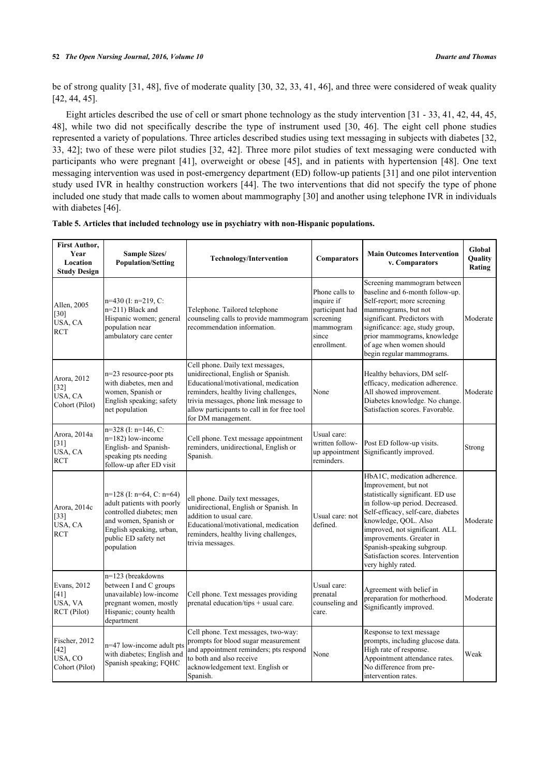be of strong quality [\[31,](#page-12-16) [48](#page-12-15)], five of moderate quality [\[30](#page-12-9), [32,](#page-12-17) [33](#page-12-10), [41](#page-12-11), [46\]](#page-12-14), and three were considered of weak quality [\[42](#page-12-12), [44](#page-12-13), [45](#page-12-19)].

Eight articles described the use of cell or smart phone technology as the study intervention [[31](#page-12-16) - [33](#page-12-10)[, 41](#page-12-11), [42](#page-12-12), [44](#page-12-13)[, 45](#page-12-19), [48\]](#page-12-15), while two did not specifically describe the type of instrument used[[30,](#page-12-9) [46](#page-12-14)]. The eight cell phone studies represented a variety of populations. Three articles described studies using text messaging in subjects with diabetes [[32](#page-12-17), [33](#page-12-10)[, 42](#page-12-12)]; two of these were pilot studies [[32,](#page-12-17) [42](#page-12-12)]. Three more pilot studies of text messaging were conducted with participants who were pregnant[[41\]](#page-12-11), overweight or obese[[45\]](#page-12-19), and in patients with hypertension[[48](#page-12-15)]. One text messaging intervention was used in post-emergency department (ED) follow-up patients [[31\]](#page-12-16) and one pilot intervention study used IVR in healthy construction workers [[44\]](#page-12-13). The two interventions that did not specify the type of phone included one study that made calls to women about mammography [\[30](#page-12-9)] and another using telephone IVR in individuals with diabetes [[46\]](#page-12-14).

<span id="page-7-0"></span>

| <b>First Author,</b><br>Year<br>Location<br><b>Study Design</b> | Sample Sizes/<br><b>Population/Setting</b>                                                                                                                                            | <b>Technology/Intervention</b>                                                                                                                                                                                                                                          | <b>Comparators</b>                                                                                | <b>Main Outcomes Intervention</b><br>v. Comparators                                                                                                                                                                                                                                                                                               | Global<br><b>Ouality</b><br>Rating |
|-----------------------------------------------------------------|---------------------------------------------------------------------------------------------------------------------------------------------------------------------------------------|-------------------------------------------------------------------------------------------------------------------------------------------------------------------------------------------------------------------------------------------------------------------------|---------------------------------------------------------------------------------------------------|---------------------------------------------------------------------------------------------------------------------------------------------------------------------------------------------------------------------------------------------------------------------------------------------------------------------------------------------------|------------------------------------|
| Allen, 2005<br>$[30]$<br>USA, CA<br>RCT                         | $n=430$ (I: $n=219$ , C:<br>n=211) Black and<br>Hispanic women; general<br>population near<br>ambulatory care center                                                                  | Telephone. Tailored telephone<br>counseling calls to provide mammogram<br>recommendation information.                                                                                                                                                                   | Phone calls to<br>inquire if<br>participant had<br>screening<br>mammogram<br>since<br>enrollment. | Screening mammogram between<br>baseline and 6-month follow-up.<br>Self-report; more screening<br>mammograms, but not<br>significant. Predictors with<br>significance: age, study group,<br>prior mammograms, knowledge<br>of age when women should<br>begin regular mammograms.                                                                   | Moderate                           |
| Arora, 2012<br>$[32]$<br>USA, CA<br>Cohort (Pilot)              | n=23 resource-poor pts<br>with diabetes, men and<br>women, Spanish or<br>English speaking; safety<br>net population                                                                   | Cell phone. Daily text messages,<br>unidirectional, English or Spanish.<br>Educational/motivational, medication<br>reminders, healthy living challenges,<br>trivia messages, phone link message to<br>allow participants to call in for free tool<br>for DM management. | None                                                                                              | Healthy behaviors, DM self-<br>efficacy, medication adherence.<br>All showed improvement.<br>Diabetes knowledge. No change.<br>Satisfaction scores. Favorable.                                                                                                                                                                                    | Moderate                           |
| Arora, 2014a<br>$[31]$<br>USA, CA<br><b>RCT</b>                 | $n=328$ (I: $n=146$ , C:<br>$n=182$ ) low-income<br>English- and Spanish-<br>speaking pts needing<br>follow-up after ED visit                                                         | Cell phone. Text message appointment<br>reminders, unidirectional, English or<br>Spanish.                                                                                                                                                                               | Usual care:<br>written follow-<br>up appointment<br>reminders.                                    | Post ED follow-up visits.<br>Significantly improved.                                                                                                                                                                                                                                                                                              | Strong                             |
| Arora, 2014c<br>$[33]$<br>USA, CA<br>RCT                        | $n=128$ (I: $n=64$ , C: $n=64$ )<br>adult patients with poorly<br>controlled diabetes: men<br>and women, Spanish or<br>English speaking, urban,<br>public ED safety net<br>population | ell phone. Daily text messages,<br>unidirectional, English or Spanish. In<br>addition to usual care.<br>Educational/motivational, medication<br>reminders, healthy living challenges,<br>trivia messages.                                                               | Usual care: not<br>defined.                                                                       | HbA1C, medication adherence.<br>Improvement, but not<br>statistically significant. ED use<br>in follow-up period. Decreased.<br>Self-efficacy, self-care, diabetes<br>knowledge, QOL. Also<br>improved, not significant. ALL<br>improvements. Greater in<br>Spanish-speaking subgroup.<br>Satisfaction scores. Intervention<br>very highly rated. | Moderate                           |
| Evans, 2012<br>[41]<br>USA, VA<br>RCT (Pilot)                   | n=123 (breakdowns<br>between I and C groups<br>unavailable) low-income<br>pregnant women, mostly<br>Hispanic; county health<br>department                                             | Cell phone. Text messages providing<br>prenatal education/tips + usual care.                                                                                                                                                                                            | Usual care:<br>prenatal<br>counseling and<br>care.                                                | Agreement with belief in<br>preparation for motherhood.<br>Significantly improved.                                                                                                                                                                                                                                                                | Moderate                           |
| Fischer, 2012<br>$[42]$<br>USA, CO<br>Cohort (Pilot)            | n=47 low-income adult pts<br>with diabetes; English and<br>Spanish speaking; FQHC                                                                                                     | Cell phone. Text messages, two-way:<br>prompts for blood sugar measurement<br>and appointment reminders; pts respond<br>to both and also receive<br>acknowledgement text. English or<br>Spanish.                                                                        | None                                                                                              | Response to text message<br>prompts, including glucose data.<br>High rate of response.<br>Appointment attendance rates.<br>No difference from pre-<br>intervention rates.                                                                                                                                                                         | Weak                               |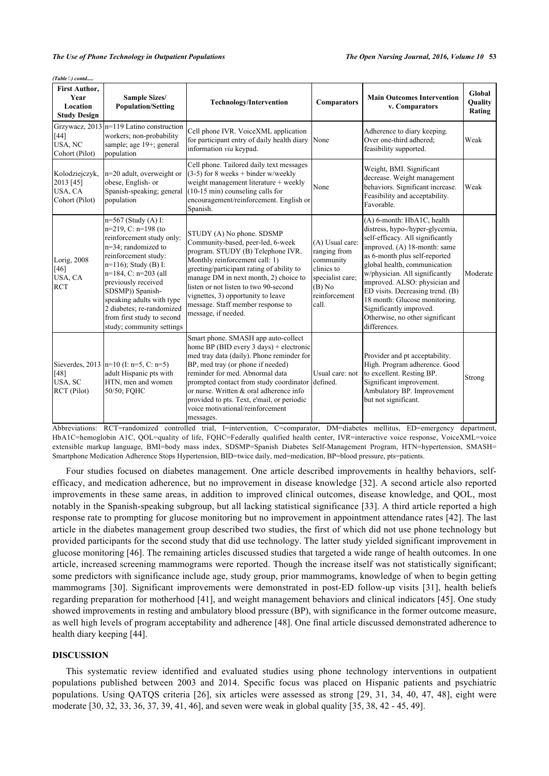*(Table ) contd.....*

| <b>First Author,</b><br>Year<br>Location<br><b>Study Design</b> | Sample Sizes/<br><b>Population/Setting</b>                                                                                                                                                                                                                                                                                                       | <b>Technology/Intervention</b>                                                                                                                                                                                                                                                                                                                                                                    | <b>Comparators</b>                                                                                                     | <b>Main Outcomes Intervention</b><br>v. Comparators                                                                                                                                                                                                                                                                                                                                                                      | Global<br><b>Ouality</b><br>Rating |
|-----------------------------------------------------------------|--------------------------------------------------------------------------------------------------------------------------------------------------------------------------------------------------------------------------------------------------------------------------------------------------------------------------------------------------|---------------------------------------------------------------------------------------------------------------------------------------------------------------------------------------------------------------------------------------------------------------------------------------------------------------------------------------------------------------------------------------------------|------------------------------------------------------------------------------------------------------------------------|--------------------------------------------------------------------------------------------------------------------------------------------------------------------------------------------------------------------------------------------------------------------------------------------------------------------------------------------------------------------------------------------------------------------------|------------------------------------|
| $[44]$<br>USA, NC<br>Cohort (Pilot)                             | Grzywacz, 2013 $n=119$ Latino construction<br>workers; non-probability<br>sample; age 19+; general<br>population                                                                                                                                                                                                                                 | Cell phone IVR. VoiceXML application<br>for participant entry of daily health diary<br>information via keypad.                                                                                                                                                                                                                                                                                    | None                                                                                                                   | Adherence to diary keeping.<br>Over one-third adhered;<br>feasibility supported.                                                                                                                                                                                                                                                                                                                                         | Weak                               |
| Kolodziejczyk,<br>2013 [45]<br>USA, CA<br>Cohort (Pilot)        | n=20 adult, overweight or<br>obese, English- or<br>Spanish-speaking; general<br>population                                                                                                                                                                                                                                                       | Cell phone. Tailored daily text messages<br>$(3-5)$ for 8 weeks + binder w/weekly<br>weight management literature + weekly<br>$(10-15 \text{ min})$ counseling calls for<br>encouragement/reinforcement. English or<br>Spanish.                                                                                                                                                                   | None                                                                                                                   | Weight, BMI. Significant<br>decrease. Weight management<br>behaviors. Significant increase.<br>Feasibility and acceptability.<br>Favorable.                                                                                                                                                                                                                                                                              | Weak                               |
| Lorig, 2008<br>$[46]$<br>USA, CA<br><b>RCT</b>                  | n=567 (Study (A) I:<br>$n=219$ , C: $n=198$ (to<br>reinforcement study only:<br>n=34; randomized to<br>reinforcement study:<br>n=116); Study (B) I:<br>$n=184$ , C: $n=203$ (all<br>previously received<br>SDSMP)) Spanish-<br>speaking adults with type<br>2 diabetes; re-randomized<br>from first study to second<br>study; community settings | STUDY (A) No phone. SDSMP<br>Community-based, peer-led, 6-week<br>program. STUDY (B) Telephone IVR.<br>Monthly reinforcement call: 1)<br>greeting/participant rating of ability to<br>manage DM in next month, 2) choice to<br>listen or not listen to two 90-second<br>vignettes, 3) opportunity to leave<br>message. Staff member response to<br>message, if needed.                            | $(A)$ Usual care:<br>ranging from<br>community<br>clinics to<br>specialist care;<br>$(B)$ No<br>reinforcement<br>call. | (A) 6-month: HbA1C, health<br>distress, hypo-/hyper-glycemia,<br>self-efficacy. All significantly<br>improved. (A) 18-month: same<br>as 6-month plus self-reported<br>global health, communication<br>w/physician. All significantly<br>improved. ALSO: physician and<br>ED visits. Decreasing trend. (B)<br>18 month: Glucose monitoring.<br>Significantly improved.<br>Otherwise, no other significant<br>differences. | Moderate                           |
| $[48]$<br>USA, SC<br>RCT (Pilot)                                | Sieverdes, 2013 $ n=10$ (I: $n=5$ , C: $n=5$ )<br>adult Hispanic pts with<br>HTN, men and women<br>50/50; FQHC                                                                                                                                                                                                                                   | Smart phone. SMASH app auto-collect<br>home BP (BID every 3 days) + electronic<br>med tray data (daily). Phone reminder for<br>BP, med tray (or phone if needed)<br>reminder for med. Abnormal data<br>prompted contact from study coordinator defined.<br>or nurse. Written & oral adherence info<br>provided to pts. Text, e'mail, or periodic<br>voice motivational/reinforcement<br>messages. | Usual care: not                                                                                                        | Provider and pt acceptability.<br>High. Program adherence. Good<br>to excellent. Resting BP.<br>Significant improvement.<br>Ambulatory BP. Improvement<br>but not significant.                                                                                                                                                                                                                                           | Strong                             |

Abbreviations: RCT=randomized controlled trial, I=intervention, C=comparator, DM=diabetes mellitus, ED=emergency department, HbA1C=hemoglobin A1C, QOL=quality of life, FQHC=Federally qualified health center, IVR=interactive voice response, VoiceXML=voice extensible markup language, BMI=body mass index, SDSMP=Spanish Diabetes Self-Management Program, HTN=hypertension, SMASH= Smartphone Medication Adherence Stops Hypertension, BID=twice daily, med=medication, BP=blood pressure, pts=patients.

Four studies focused on diabetes management. One article described improvements in healthy behaviors, selfefficacy, and medication adherence, but no improvement in disease knowledge [[32\]](#page-12-17). A second article also reported improvements in these same areas, in addition to improved clinical outcomes, disease knowledge, and QOL, most notably in the Spanish-speaking subgroup, but all lacking statistical significance [[33\]](#page-12-10). A third article reported a high response rate to prompting for glucose monitoring but no improvement in appointment attendance rates [[42](#page-12-12)]. The last article in the diabetes management group described two studies, the first of which did not use phone technology but provided participants for the second study that did use technology. The latter study yielded significant improvement in glucose monitoring [[46\]](#page-12-14). The remaining articles discussed studies that targeted a wide range of health outcomes. In one article, increased screening mammograms were reported. Though the increase itself was not statistically significant; some predictors with significance include age, study group, prior mammograms, knowledge of when to begin getting mammograms [\[30\]](#page-12-9). Significant improvements were demonstrated in post-ED follow-up visits[[31\]](#page-12-16), health beliefs regarding preparation for motherhood [[41\]](#page-12-11), and weight management behaviors and clinical indicators [[45](#page-12-19)]. One study showed improvements in resting and ambulatory blood pressure (BP), with significance in the former outcome measure, as well high levels of program acceptability and adherence [\[48](#page-12-15)]. One final article discussed demonstrated adherence to health diary keeping [\[44](#page-12-13)].

## **DISCUSSION**

This systematic review identified and evaluated studies using phone technology interventions in outpatient populations published between 2003 and 2014. Specific focus was placed on Hispanic patients and psychiatric populations. Using QATQS criteria [\[26\]](#page-11-14), six articles were assessed as strong[[29,](#page-12-0) [31,](#page-12-16) [34](#page-12-1), [40](#page-12-3), [47,](#page-12-8) [48\]](#page-12-15), eight were moderate [[30,](#page-12-9) [32,](#page-12-17) [33,](#page-12-10) [36,](#page-12-2) [37,](#page-12-5) [39,](#page-12-6) [41,](#page-12-11) [46\]](#page-12-14), and seven were weak in global quality [\[35](#page-12-4), [38](#page-12-18), [42](#page-12-12) - [45,](#page-12-19) [49\]](#page-13-0).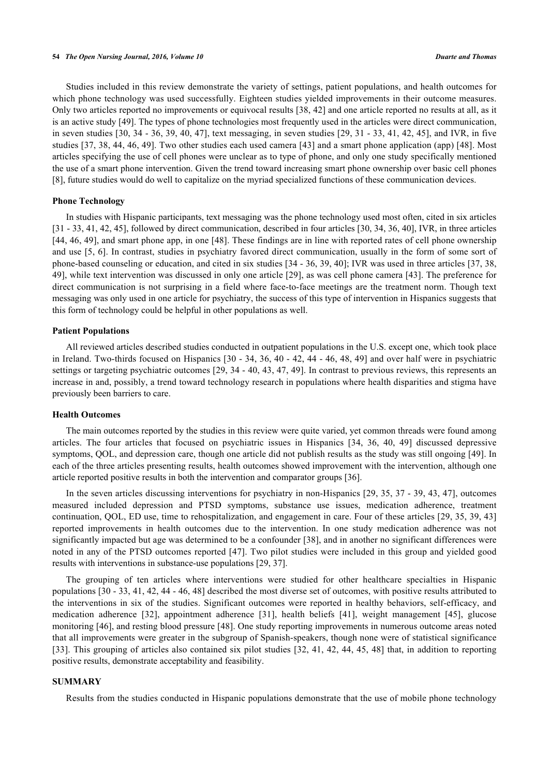Studies included in this review demonstrate the variety of settings, patient populations, and health outcomes for which phone technology was used successfully. Eighteen studies yielded improvements in their outcome measures. Only two articles reported no improvements or equivocal results [\[38,](#page-12-18) [42\]](#page-12-12) and one article reported no results at all, as it is an active study [[49\]](#page-13-0). The types of phone technologies most frequently used in the articles were direct communication, in seven studies [[30,](#page-12-9) [34](#page-12-1) - [36](#page-12-2), [39,](#page-12-6) [40,](#page-12-3) [47](#page-12-8)], text messaging, in seven studies [\[29,](#page-12-0) [31](#page-12-16) - [33](#page-12-10)[, 41,](#page-12-11) [42](#page-12-12), [45](#page-12-19)], and IVR, in five studies [\[37,](#page-12-5) [38](#page-12-18), [44](#page-12-13)[, 46](#page-12-14), [49\]](#page-13-0). Two other studies each used camera [[43](#page-12-7)] and a smart phone application (app) [[48\]](#page-12-15). Most articles specifying the use of cell phones were unclear as to type of phone, and only one study specifically mentioned the use of a smart phone intervention. Given the trend toward increasing smart phone ownership over basic cell phones [\[8](#page-11-1)], future studies would do well to capitalize on the myriad specialized functions of these communication devices.

## **Phone Technology**

In studies with Hispanic participants, text messaging was the phone technology used most often, cited in six articles [\[31](#page-12-16) - [33](#page-12-10), [41,](#page-12-11) [42,](#page-12-12) [45\]](#page-12-19), followed by direct communication, described in four articles [[30,](#page-12-9) [34,](#page-12-1) [36,](#page-12-2) [40](#page-12-3)], IVR, in three articles [\[44](#page-12-13), [46,](#page-12-14) [49](#page-13-0)], and smart phone app, in one [[48](#page-12-15)]. These findings are in line with reported rates of cell phone ownership and use [\[5](#page-10-4), [6](#page-10-5)]. In contrast, studies in psychiatry favored direct communication, usually in the form of some sort of phone-based counseling or education, and cited in six studies [[34](#page-12-1) - [36,](#page-12-2) [39](#page-12-6), [40\]](#page-12-3); IVR was used in three articles [[37,](#page-12-5) [38](#page-12-18), [49\]](#page-13-0), while text intervention was discussed in only one article [\[29](#page-12-0)], as was cell phone camera [\[43](#page-12-7)]. The preference for direct communication is not surprising in a field where face-to-face meetings are the treatment norm. Though text messaging was only used in one article for psychiatry, the success of this type of intervention in Hispanics suggests that this form of technology could be helpful in other populations as well.

#### **Patient Populations**

All reviewed articles described studies conducted in outpatient populations in the U.S. except one, which took place in Ireland. Two-thirds focused on Hispanics [[30](#page-12-9) - [34](#page-12-1), [36,](#page-12-2) [40](#page-12-3) - [42,](#page-12-12) [44](#page-12-13) - [46](#page-12-14), [48](#page-12-15), [49](#page-13-0)] and over half were in psychiatric settings or targeting psychiatric outcomes [\[29](#page-12-0), [34](#page-12-1) - [40](#page-12-3), [43](#page-12-7)[, 47](#page-12-8), [49\]](#page-13-0). In contrast to previous reviews, this represents an increase in and, possibly, a trend toward technology research in populations where health disparities and stigma have previously been barriers to care.

#### **Health Outcomes**

The main outcomes reported by the studies in this review were quite varied, yet common threads were found among articles. The four articles that focused on psychiatric issues in Hispanics[[34](#page-12-1), [36,](#page-12-2) [40](#page-12-3), [49\]](#page-13-0) discussed depressive symptoms, QOL, and depression care, though one article did not publish results as the study was still ongoing [\[49\]](#page-13-0). In each of the three articles presenting results, health outcomes showed improvement with the intervention, although one article reported positive results in both the intervention and comparator groups [[36\]](#page-12-2).

In the seven articles discussing interventions for psychiatry in non-Hispanics [\[29](#page-12-0), [35](#page-12-4), [37](#page-12-5) - [39](#page-12-6)[, 43,](#page-12-7) [47](#page-12-8)], outcomes measured included depression and PTSD symptoms, substance use issues, medication adherence, treatment continuation, QOL, ED use, time to rehospitalization, and engagement in care. Four of these articles [[29](#page-12-0), [35,](#page-12-4) [39,](#page-12-6) [43](#page-12-7)] reported improvements in health outcomes due to the intervention. In one study medication adherence was not significantly impacted but age was determined to be a confounder [\[38](#page-12-18)], and in another no significant differences were noted in any of the PTSD outcomes reported [[47](#page-12-8)]. Two pilot studies were included in this group and yielded good results with interventions in substance-use populations [\[29](#page-12-0), [37](#page-12-5)].

The grouping of ten articles where interventions were studied for other healthcare specialties in Hispanic populations [[30](#page-12-9) - [33](#page-12-10)[, 41](#page-12-11), [42,](#page-12-12) [44](#page-12-13) - [46,](#page-12-14) [48\]](#page-12-15) described the most diverse set of outcomes, with positive results attributed to the interventions in six of the studies. Significant outcomes were reported in healthy behaviors, self-efficacy, and medication adherence[[32](#page-12-17)], appointment adherence [\[31\]](#page-12-16), health beliefs [\[41\]](#page-12-11), weight management [\[45](#page-12-19)], glucose monitoring [[46\]](#page-12-14), and resting blood pressure [\[48](#page-12-15)]. One study reporting improvements in numerous outcome areas noted that all improvements were greater in the subgroup of Spanish-speakers, though none were of statistical significance [\[33](#page-12-10)]. This grouping of articles also contained six pilot studies [\[32,](#page-12-17) [41,](#page-12-11) [42](#page-12-12)[, 44](#page-12-13), [45](#page-12-19), [48](#page-12-15)] that, in addition to reporting positive results, demonstrate acceptability and feasibility.

## **SUMMARY**

Results from the studies conducted in Hispanic populations demonstrate that the use of mobile phone technology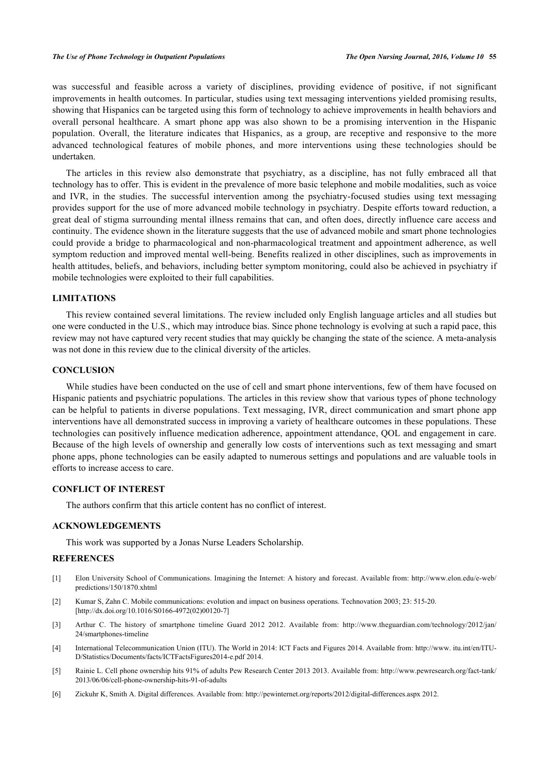was successful and feasible across a variety of disciplines, providing evidence of positive, if not significant improvements in health outcomes. In particular, studies using text messaging interventions yielded promising results, showing that Hispanics can be targeted using this form of technology to achieve improvements in health behaviors and overall personal healthcare. A smart phone app was also shown to be a promising intervention in the Hispanic population. Overall, the literature indicates that Hispanics, as a group, are receptive and responsive to the more advanced technological features of mobile phones, and more interventions using these technologies should be undertaken.

The articles in this review also demonstrate that psychiatry, as a discipline, has not fully embraced all that technology has to offer. This is evident in the prevalence of more basic telephone and mobile modalities, such as voice and IVR, in the studies. The successful intervention among the psychiatry-focused studies using text messaging provides support for the use of more advanced mobile technology in psychiatry. Despite efforts toward reduction, a great deal of stigma surrounding mental illness remains that can, and often does, directly influence care access and continuity. The evidence shown in the literature suggests that the use of advanced mobile and smart phone technologies could provide a bridge to pharmacological and non-pharmacological treatment and appointment adherence, as well symptom reduction and improved mental well-being. Benefits realized in other disciplines, such as improvements in health attitudes, beliefs, and behaviors, including better symptom monitoring, could also be achieved in psychiatry if mobile technologies were exploited to their full capabilities.

#### **LIMITATIONS**

This review contained several limitations. The review included only English language articles and all studies but one were conducted in the U.S., which may introduce bias. Since phone technology is evolving at such a rapid pace, this review may not have captured very recent studies that may quickly be changing the state of the science. A meta-analysis was not done in this review due to the clinical diversity of the articles.

#### **CONCLUSION**

While studies have been conducted on the use of cell and smart phone interventions, few of them have focused on Hispanic patients and psychiatric populations. The articles in this review show that various types of phone technology can be helpful to patients in diverse populations. Text messaging, IVR, direct communication and smart phone app interventions have all demonstrated success in improving a variety of healthcare outcomes in these populations. These technologies can positively influence medication adherence, appointment attendance, QOL and engagement in care. Because of the high levels of ownership and generally low costs of interventions such as text messaging and smart phone apps, phone technologies can be easily adapted to numerous settings and populations and are valuable tools in efforts to increase access to care.

## **CONFLICT OF INTEREST**

The authors confirm that this article content has no conflict of interest.

## **ACKNOWLEDGEMENTS**

This work was supported by a Jonas Nurse Leaders Scholarship.

#### **REFERENCES**

- <span id="page-10-0"></span>[1] Elon University School of Communications. Imagining the Internet: A history and forecast. Available from: [http://www.elon.edu/e-web/](http://www.elon.edu/e-web/predictions/150/1870.xhtml) [predictions/150/1870.xhtml](http://www.elon.edu/e-web/predictions/150/1870.xhtml)
- <span id="page-10-1"></span>[2] Kumar S, Zahn C. Mobile communications: evolution and impact on business operations. Technovation 2003; 23: 515-20. [\[http://dx.doi.org/10.1016/S0166-4972\(02\)00120-7\]](http://dx.doi.org/10.1016/S0166-4972(02)00120-7)
- <span id="page-10-2"></span>[3] Arthur C. The history of smartphone timeline Guard 2012 2012. Available from: [http://www.theguardian.com/technology/2012/jan/](http://www.theguardian.com/technology/2012/jan/24/smartphones-timeline) [24/smartphones-timeline](http://www.theguardian.com/technology/2012/jan/24/smartphones-timeline)
- <span id="page-10-3"></span>[4] International Telecommunication Union (ITU). The World in 2014: ICT Facts and Figures 2014. Available from: [http://www. itu.int/en/ITU-](http://www.itu.int/en/ITU-D/Statistics/Documents/facts/ICTFactsFigures2014-e.pdf)[D/Statistics/Documents/facts/ICTFactsFigures2014-e.pdf](http://www.itu.int/en/ITU-D/Statistics/Documents/facts/ICTFactsFigures2014-e.pdf) 2014.
- <span id="page-10-4"></span>[5] Rainie L. Cell phone ownership hits 91% of adults Pew Research Center 2013 2013. Available from: [http://www.pewresearch.org/fact-tank/](http://www.pewresearch.org/fact-tank/2013/06/06/cell-phone-ownership-hits-91-of-adults) [2013/06/06/cell-phone-ownership-hits-91-of-adults](http://www.pewresearch.org/fact-tank/2013/06/06/cell-phone-ownership-hits-91-of-adults)
- <span id="page-10-5"></span>[6] Zickuhr K, Smith A. Digital differences. Available from:<http://pewinternet.org/reports/2012/digital-differences.aspx> 2012.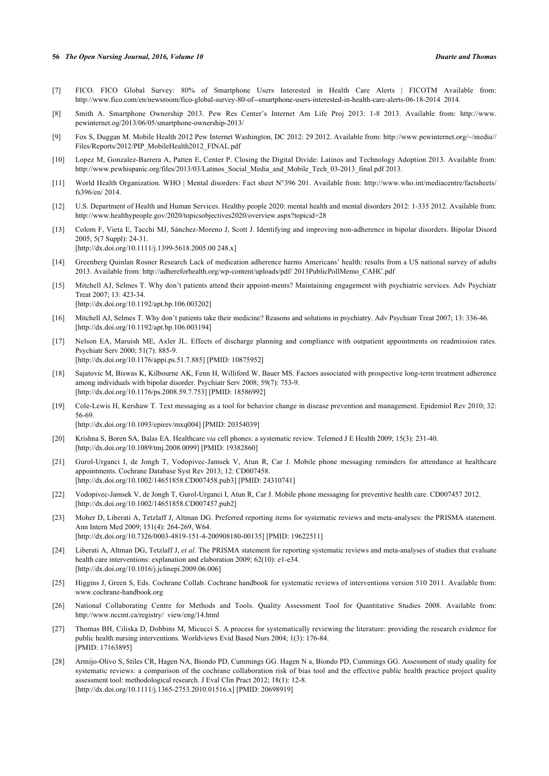- <span id="page-11-0"></span>[7] FICO. FICO Global Survey: 80% of Smartphone Users Interested in Health Care Alerts | FICOTM Available from: <http://www.fico.com/en/newsroom/fico-global-survey-80-of--smartphone-users-interested-in-health-care-alerts-06-18-2014> 2014.
- <span id="page-11-1"></span>[8] Smith A. Smartphone Ownership 2013. Pew Res Center's Internet Am Life Proj 2013: 1-8 2013. Available from: [http://www.](http://www.pewinternet.og/2013/06/05/sm%20artphone-ownership-2013/) [pewinternet.og/2013/06/05/smartphone-ownership-2013/](http://www.pewinternet.og/2013/06/05/sm%20artphone-ownership-2013/)
- <span id="page-11-2"></span>[9] Fox S, Duggan M. Mobile Health 2012 Pew Internet Washington, DC 2012: 29 2012. Available from: [http://www.pewinternet.org/~/media//](http://www.pewinternet.org/~/media//Files/Reports/2012/PIP_MobileHealth2012_FINAL.pdf) [Files/Reports/2012/PIP\\_MobileHealth2012\\_FINAL.pdf](http://www.pewinternet.org/~/media//Files/Reports/2012/PIP_MobileHealth2012_FINAL.pdf)
- <span id="page-11-3"></span>[10] Lopez M, Gonzalez-Barrera A, Patten E, Center P. Closing the Digital Divide: Latinos and Technology Adoption 2013. Available from: [http://www.pewhispanic.org/files/2013/03/Latinos\\_Social\\_Media\\_and\\_Mobile\\_Tech\\_03-2013\\_final.pdf](http://www.pewhispanic.org/files/2013/03/Latinos_Social_Media_and_Mobile_Tech_03-2013_final.pdf) 2013.
- <span id="page-11-4"></span>[11] World Health Organization. WHO | Mental disorders: Fact sheet N°396 201. Available from: [http://www.who.int/mediacentre/factsheets/](http://www.who.int/mediacentre/factsheets/fs396/en/) [fs396/en/](http://www.who.int/mediacentre/factsheets/fs396/en/) 2014.
- <span id="page-11-5"></span>[12] U.S. Department of Health and Human Services. Healthy people 2020: mental health and mental disorders 2012: 1-335 2012. Available from: <http://www.healthypeople.gov/2020/topicsobjectives2020/overview.aspx?topicid=28>
- <span id="page-11-6"></span>[13] Colom F, Vieta E, Tacchi MJ, Sánchez-Moreno J, Scott J. Identifying and improving non-adherence in bipolar disorders. Bipolar Disord 2005; 5(7 Suppl): 24-31. [\[http://dx.doi.org/10.1111/j.1399-5618.2005.00 248.x\]](http://dx.doi.org/10.1111/j.1399-5618.2005.00%20248.x)
- [14] Greenberg Quinlan Rosner Research Lack of medication adherence harms Americans' health: results from a US national survey of adults 2013. Available from: [http://adhereforhealth.org/wp-content/uploads/pdf/ 2013PublicPollMemo\\_CAHC.pdf](http://adhereforhealth.org/wp-content/uploa%20ds/pdf/2013PublicPollMemo_CAHC.pdf)
- [15] Mitchell AJ, Selmes T. Why don't patients attend their appoint-ments? Maintaining engagement with psychiatric services. Adv Psychiatr Treat 2007; 13: 423-34.

[\[http://dx.doi.org/10.1192/apt.bp.106.003202\]](http://dx.doi.org/10.1192/apt.bp.106.003202)

- [16] Mitchell AJ, Selmes T. Why don't patients take their medicine? Reasons and solutions in psychiatry. Adv Psychiatr Treat 2007; 13: 336-46. [\[http://dx.doi.org/10.1192/apt.bp.106.003194\]](http://dx.doi.org/10.1192/apt.bp.106.003194)
- [17] Nelson EA, Maruish ME, Axler JL. Effects of discharge planning and compliance with outpatient appointments on readmission rates. Psychiatr Serv 2000; 51(7): 885-9. [\[http://dx.doi.org/10.1176/appi.ps.51.7.885\]](http://dx.doi.org/10.1176/appi.ps.51.7.885) [PMID: [10875952](http://www.ncbi.nlm.nih.gov/pubmed/10875952)]
- <span id="page-11-7"></span>[18] Sajatovic M, Biswas K, Kilbourne AK, Fenn H, Williford W, Bauer MS. Factors associated with prospective long-term treatment adherence among individuals with bipolar disorder. Psychiatr Serv 2008; 59(7): 753-9. [\[http://dx.doi.org/10.1176/ps.2008.59.7.753\]](http://dx.doi.org/10.1176/ps.2008.59.7.753) [PMID: [18586992](http://www.ncbi.nlm.nih.gov/pubmed/18586992)]
- <span id="page-11-8"></span>[19] Cole-Lewis H, Kershaw T. Text messaging as a tool for behavior change in disease prevention and management. Epidemiol Rev 2010; 32: 56-69.

[\[http://dx.doi.org/10.1093/epirev/mxq004](http://dx.doi.org/10.1093/epirev/mxq004)] [PMID: [20354039\]](http://www.ncbi.nlm.nih.gov/pubmed/20354039)

- [20] Krishna S, Boren SA, Balas EA. Healthcare *via* cell phones: a systematic review. Telemed J E Health 2009; 15(3): 231-40. [\[http://dx.doi.org/10.1089/tmj.2008.0099](http://dx.doi.org/10.1089/tmj.2008.0099)] [PMID: [19382860](http://www.ncbi.nlm.nih.gov/pubmed/19382860)]
- <span id="page-11-10"></span>[21] Gurol-Urganci I, de Jongh T, Vodopivec-Jamsek V, Atun R, Car J. Mobile phone messaging reminders for attendance at healthcare appointments. Cochrane Database Syst Rev 2013; 12: CD007458. [\[http://dx.doi.org/10.1002/14651858.CD007458.pub3\]](http://dx.doi.org/10.1002/14651858.CD007458.pub3) [PMID: [24310741](http://www.ncbi.nlm.nih.gov/pubmed/24310741)]
- <span id="page-11-9"></span>[22] Vodopivec-Jamsek V, de Jongh T, Gurol-Urganci I, Atun R, Car J. Mobile phone messaging for preventive health care. CD007457 2012. [\[http://dx.doi.org/10.1002/14651858.CD007457.pub2\]](http://dx.doi.org/10.1002/14651858.CD007457.pub2)
- <span id="page-11-11"></span>[23] Moher D, Liberati A, Tetzlaff J, Altman DG. Preferred reporting items for systematic reviews and meta-analyses: the PRISMA statement. Ann Intern Med 2009; 151(4): 264-269, W64. [\[http://dx.doi.org/10.7326/0003-4819-151-4-200908180-00135](http://dx.doi.org/10.7326/0003-4819-151-4-200908180-00135)] [PMID: [19622511\]](http://www.ncbi.nlm.nih.gov/pubmed/19622511)
- <span id="page-11-12"></span>[24] Liberati A, Altman DG, Tetzlaff J, *et al.* The PRISMA statement for reporting systematic reviews and meta-analyses of studies that evaluate health care interventions: explanation and elaboration 2009; 62(10): e1-e34. [\[http://dx.doi.org/10.1016/j.jclinepi.2009.06.006](http://dx.doi.org/10.1016/j.jclinepi.2009.06.006)]
- <span id="page-11-13"></span>[25] Higgins J, Green S, Eds. Cochrane Collab. Cochrane handbook for systematic reviews of interventions version 510 2011. Available from: [www.cochrane-handbook.org](http://192.168.111.2/oa/www.cochrane-handbook.org)
- <span id="page-11-14"></span>[26] National Collaborating Centre for Methods and Tools. Quality Assessment Tool for Quantitative Studies 2008. Available from: [http://www.nccmt.ca/registry/ view/eng/14.html](http://www.nccmt.ca/registry/view/eng/14.html)
- <span id="page-11-15"></span>[27] Thomas BH, Ciliska D, Dobbins M, Micucci S. A process for systematically reviewing the literature: providing the research evidence for public health nursing interventions. Worldviews Evid Based Nurs 2004; 1(3): 176-84. [PMID: [17163895\]](http://www.ncbi.nlm.nih.gov/pubmed/17163895)
- <span id="page-11-16"></span>[28] Armijo-Olivo S, Stiles CR, Hagen NA, Biondo PD, Cummings GG. Hagen N a, Biondo PD, Cummings GG. Assessment of study quality for systematic reviews: a comparison of the cochrane collaboration risk of bias tool and the effective public health practice project quality assessment tool: methodological research. J Eval Clin Pract 2012; 18(1): 12-8. [\[http://dx.doi.org/10.1111/j.1365-2753.2010.01516.x\]](http://dx.doi.org/10.1111/j.1365-2753.2010.01516.x) [PMID: [20698919](http://www.ncbi.nlm.nih.gov/pubmed/20698919)]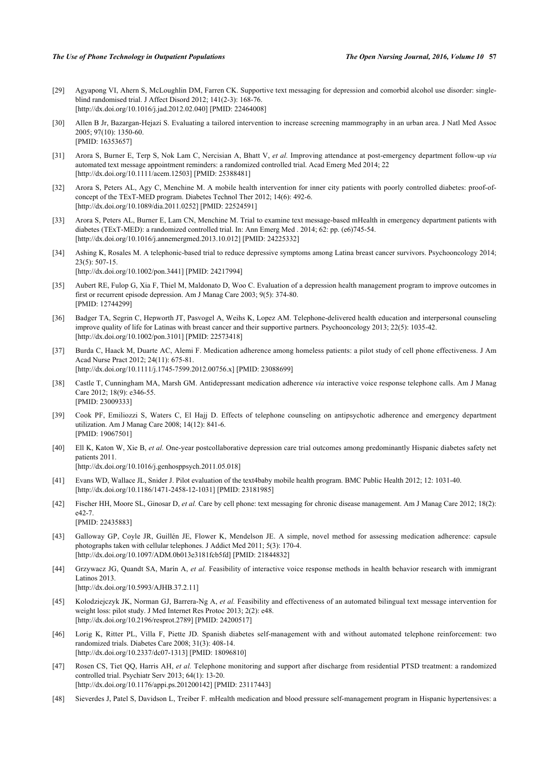- <span id="page-12-0"></span>[29] Agyapong VI, Ahern S, McLoughlin DM, Farren CK. Supportive text messaging for depression and comorbid alcohol use disorder: singleblind randomised trial. J Affect Disord 2012; 141(2-3): 168-76. [\[http://dx.doi.org/10.1016/j.jad.2012.02.040\]](http://dx.doi.org/10.1016/j.jad.2012.02.040) [PMID: [22464008](http://www.ncbi.nlm.nih.gov/pubmed/22464008)]
- <span id="page-12-9"></span>[30] Allen B Jr, Bazargan-Hejazi S. Evaluating a tailored intervention to increase screening mammography in an urban area. J Natl Med Assoc 2005; 97(10): 1350-60. [PMID: [16353657\]](http://www.ncbi.nlm.nih.gov/pubmed/16353657)
- <span id="page-12-16"></span>[31] Arora S, Burner E, Terp S, Nok Lam C, Nercisian A, Bhatt V, *et al.* Improving attendance at post-emergency department follow-up *via* automated text message appointment reminders: a randomized controlled trial. Acad Emerg Med 2014; 22 [\[http://dx.doi.org/10.1111/acem.12503\]](http://dx.doi.org/10.1111/acem.12503) [PMID: [25388481](http://www.ncbi.nlm.nih.gov/pubmed/25388481)]
- <span id="page-12-17"></span>[32] Arora S, Peters AL, Agy C, Menchine M. A mobile health intervention for inner city patients with poorly controlled diabetes: proof-ofconcept of the TExT-MED program. Diabetes Technol Ther 2012; 14(6): 492-6. [\[http://dx.doi.org/10.1089/dia.2011.0252\]](http://dx.doi.org/10.1089/dia.2011.0252) [PMID: [22524591](http://www.ncbi.nlm.nih.gov/pubmed/22524591)]
- <span id="page-12-10"></span>[33] Arora S, Peters AL, Burner E, Lam CN, Menchine M. Trial to examine text message-based mHealth in emergency department patients with diabetes (TExT-MED): a randomized controlled trial. In: Ann Emerg Med . 2014; 62: pp. (e6)745-54. [\[http://dx.doi.org/10.1016/j.annemergmed.2013.10.012](http://dx.doi.org/10.1016/j.annemergmed.2013.10.012)] [PMID: [24225332\]](http://www.ncbi.nlm.nih.gov/pubmed/24225332)
- <span id="page-12-1"></span>[34] Ashing K, Rosales M. A telephonic-based trial to reduce depressive symptoms among Latina breast cancer survivors. Psychooncology 2014; 23(5): 507-15. [\[http://dx.doi.org/10.1002/pon.3441\]](http://dx.doi.org/10.1002/pon.3441) [PMID: [24217994](http://www.ncbi.nlm.nih.gov/pubmed/24217994)]
- <span id="page-12-4"></span>[35] Aubert RE, Fulop G, Xia F, Thiel M, Maldonato D, Woo C. Evaluation of a depression health management program to improve outcomes in first or recurrent episode depression. Am J Manag Care 2003; 9(5): 374-80. [PMID: [12744299\]](http://www.ncbi.nlm.nih.gov/pubmed/12744299)
- <span id="page-12-2"></span>[36] Badger TA, Segrin C, Hepworth JT, Pasvogel A, Weihs K, Lopez AM. Telephone-delivered health education and interpersonal counseling improve quality of life for Latinas with breast cancer and their supportive partners. Psychooncology 2013; 22(5): 1035-42. [\[http://dx.doi.org/10.1002/pon.3101\]](http://dx.doi.org/10.1002/pon.3101) [PMID: [22573418](http://www.ncbi.nlm.nih.gov/pubmed/22573418)]
- <span id="page-12-5"></span>[37] Burda C, Haack M, Duarte AC, Alemi F. Medication adherence among homeless patients: a pilot study of cell phone effectiveness. J Am Acad Nurse Pract 2012; 24(11): 675-81. [\[http://dx.doi.org/10.1111/j.1745-7599.2012.00756.x\]](http://dx.doi.org/10.1111/j.1745-7599.2012.00756.x) [PMID: [23088699](http://www.ncbi.nlm.nih.gov/pubmed/23088699)]
- <span id="page-12-18"></span>[38] Castle T, Cunningham MA, Marsh GM. Antidepressant medication adherence *via* interactive voice response telephone calls. Am J Manag Care 2012; 18(9): e346-55. [PMID: [23009333\]](http://www.ncbi.nlm.nih.gov/pubmed/23009333)
- <span id="page-12-6"></span>[39] Cook PF, Emiliozzi S, Waters C, El Hajj D. Effects of telephone counseling on antipsychotic adherence and emergency department utilization. Am J Manag Care 2008; 14(12): 841-6. [PMID: [19067501\]](http://www.ncbi.nlm.nih.gov/pubmed/19067501)
- <span id="page-12-3"></span>[40] Ell K, Katon W, Xie B, *et al.* One-year postcollaborative depression care trial outcomes among predominantly Hispanic diabetes safety net patients 2011. [\[http://dx.doi.org/10.1016/j.genhosppsych.2011.05.018](http://dx.doi.org/10.1016/j.genhosppsych.2011.05.018)]
- <span id="page-12-11"></span>[41] Evans WD, Wallace JL, Snider J. Pilot evaluation of the text4baby mobile health program. BMC Public Health 2012; 12: 1031-40. [\[http://dx.doi.org/10.1186/1471-2458-12-1031\]](http://dx.doi.org/10.1186/1471-2458-12-1031) [PMID: [23181985](http://www.ncbi.nlm.nih.gov/pubmed/23181985)]
- <span id="page-12-12"></span>[42] Fischer HH, Moore SL, Ginosar D, *et al.* Care by cell phone: text messaging for chronic disease management. Am J Manag Care 2012; 18(2): e42-7. [PMID: [22435883\]](http://www.ncbi.nlm.nih.gov/pubmed/22435883)
- <span id="page-12-7"></span>[43] Galloway GP, Coyle JR, Guillén JE, Flower K, Mendelson JE. A simple, novel method for assessing medication adherence: capsule photographs taken with cellular telephones. J Addict Med 2011; 5(3): 170-4. [\[http://dx.doi.org/10.1097/ADM.0b013e3181fcb5fd\]](http://dx.doi.org/10.1097/ADM.0b013e3181fcb5fd) [PMID: [21844832](http://www.ncbi.nlm.nih.gov/pubmed/21844832)]
- <span id="page-12-13"></span>[44] Grzywacz JG, Quandt SA, Marín A, *et al.* Feasibility of interactive voice response methods in health behavior research with immigrant Latinos 2013.
	- [\[http://dx.doi.org/10.5993/AJHB.37.2.11\]](http://dx.doi.org/10.5993/AJHB.37.2.11)
- <span id="page-12-19"></span>[45] Kolodziejczyk JK, Norman GJ, Barrera-Ng A, *et al.* Feasibility and effectiveness of an automated bilingual text message intervention for weight loss: pilot study. J Med Internet Res Protoc 2013; 2(2): e48. [\[http://dx.doi.org/10.2196/resprot.2789](http://dx.doi.org/10.2196/resprot.2789)] [PMID: [24200517\]](http://www.ncbi.nlm.nih.gov/pubmed/24200517)
- <span id="page-12-14"></span>[46] Lorig K, Ritter PL, Villa F, Piette JD. Spanish diabetes self-management with and without automated telephone reinforcement: two randomized trials. Diabetes Care 2008; 31(3): 408-14. [\[http://dx.doi.org/10.2337/dc07-1313](http://dx.doi.org/10.2337/dc07-1313)] [PMID: [18096810\]](http://www.ncbi.nlm.nih.gov/pubmed/18096810)
- <span id="page-12-8"></span>[47] Rosen CS, Tiet QQ, Harris AH, *et al.* Telephone monitoring and support after discharge from residential PTSD treatment: a randomized controlled trial. Psychiatr Serv 2013; 64(1): 13-20. [\[http://dx.doi.org/10.1176/appi.ps.201200142\]](http://dx.doi.org/10.1176/appi.ps.201200142) [PMID: [23117443](http://www.ncbi.nlm.nih.gov/pubmed/23117443)]
- <span id="page-12-15"></span>[48] Sieverdes J, Patel S, Davidson L, Treiber F. mHealth medication and blood pressure self-management program in Hispanic hypertensives: a